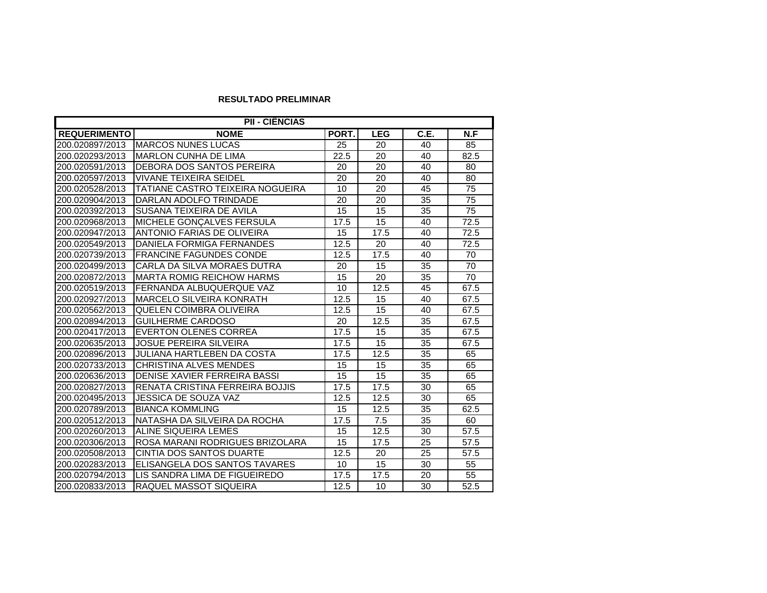## **RESULTADO PRELIMINAR**

| PII - CIÊNCIAS      |                                   |       |            |      |      |  |  |
|---------------------|-----------------------------------|-------|------------|------|------|--|--|
| <b>REQUERIMENTO</b> | <b>NOME</b>                       | PORT. | <b>LEG</b> | C.E. | N.F  |  |  |
| 200.020897/2013     | <b>MARCOS NUNES LUCAS</b>         | 25    | 20         | 40   | 85   |  |  |
| 200.020293/2013     | <b>MARLON CUNHA DE LIMA</b>       | 22.5  | 20         | 40   | 82.5 |  |  |
| 200.020591/2013     | DEBORA DOS SANTOS PEREIRA         | 20    | 20         | 40   | 80   |  |  |
| 200.020597/2013     | VIVANE TEIXEIRA SEIDEL            | 20    | 20         | 40   | 80   |  |  |
| 200.020528/2013     | TATIANE CASTRO TEIXEIRA NOGUEIRA  | 10    | 20         | 45   | 75   |  |  |
| 200.020904/2013     | DARLAN ADOLFO TRINDADE            | 20    | 20         | 35   | 75   |  |  |
| 200.020392/2013     | SUSANA TEIXEIRA DE AVILA          | 15    | 15         | 35   | 75   |  |  |
| 200.020968/2013     | MICHELE GONÇALVES FERSULA         | 17.5  | 15         | 40   | 72.5 |  |  |
| 200.020947/2013     | ANTONIO FARIAS DE OLIVEIRA        | 15    | 17.5       | 40   | 72.5 |  |  |
| 200.020549/2013     | DANIELA FORMIGA FERNANDES         | 12.5  | 20         | 40   | 72.5 |  |  |
| 200.020739/2013     | <b>FRANCINE FAGUNDES CONDE</b>    | 12.5  | 17.5       | 40   | 70   |  |  |
| 200.020499/2013     | CARLA DA SILVA MORAES DUTRA       | 20    | 15         | 35   | 70   |  |  |
| 200.020872/2013     | <b>MARTA ROMIG REICHOW HARMS</b>  | 15    | 20         | 35   | 70   |  |  |
| 200.020519/2013     | FERNANDA ALBUQUERQUE VAZ          | 10    | 12.5       | 45   | 67.5 |  |  |
| 200.020927/2013     | <b>MARCELO SILVEIRA KONRATH</b>   | 12.5  | 15         | 40   | 67.5 |  |  |
| 200.020562/2013     | QUELEN COIMBRA OLIVEIRA           | 12.5  | 15         | 40   | 67.5 |  |  |
| 200.020894/2013     | <b>GUILHERME CARDOSO</b>          | 20    | 12.5       | 35   | 67.5 |  |  |
| 200.020417/2013     | <b>EVERTON OLENES CORREA</b>      | 17.5  | 15         | 35   | 67.5 |  |  |
| 200.020635/2013     | <b>JOSUE PEREIRA SILVEIRA</b>     | 17.5  | 15         | 35   | 67.5 |  |  |
| 200.020896/2013     | <b>JULIANA HARTLEBEN DA COSTA</b> | 17.5  | 12.5       | 35   | 65   |  |  |
| 200.020733/2013     | CHRISTINA ALVES MENDES            | 15    | 15         | 35   | 65   |  |  |
| 200.020636/2013     | DENISE XAVIER FERREIRA BASSI      | 15    | 15         | 35   | 65   |  |  |
| 200.020827/2013     | RENATA CRISTINA FERREIRA BOJJIS   | 17.5  | 17.5       | 30   | 65   |  |  |
| 200.020495/2013     | JESSICA DE SOUZA VAZ              | 12.5  | 12.5       | 30   | 65   |  |  |
| 200.020789/2013     | <b>BIANCA KOMMLING</b>            | 15    | 12.5       | 35   | 62.5 |  |  |
| 200.020512/2013     | NATASHA DA SILVEIRA DA ROCHA      | 17.5  | 7.5        | 35   | 60   |  |  |
| 200.020260/2013     | ALINE SIQUEIRA LEMES              | 15    | 12.5       | 30   | 57.5 |  |  |
| 200.020306/2013     | ROSA MARANI RODRIGUES BRIZOLARA   | 15    | 17.5       | 25   | 57.5 |  |  |
| 200.020508/2013     | CINTIA DOS SANTOS DUARTE          | 12.5  | 20         | 25   | 57.5 |  |  |
| 200.020283/2013     | ELISANGELA DOS SANTOS TAVARES     | 10    | 15         | 30   | 55   |  |  |
| 200.020794/2013     | LIS SANDRA LIMA DE FIGUEIREDO     | 17.5  | 17.5       | 20   | 55   |  |  |
| 200.020833/2013     | RAQUEL MASSOT SIQUEIRA            | 12.5  | 10         | 30   | 52.5 |  |  |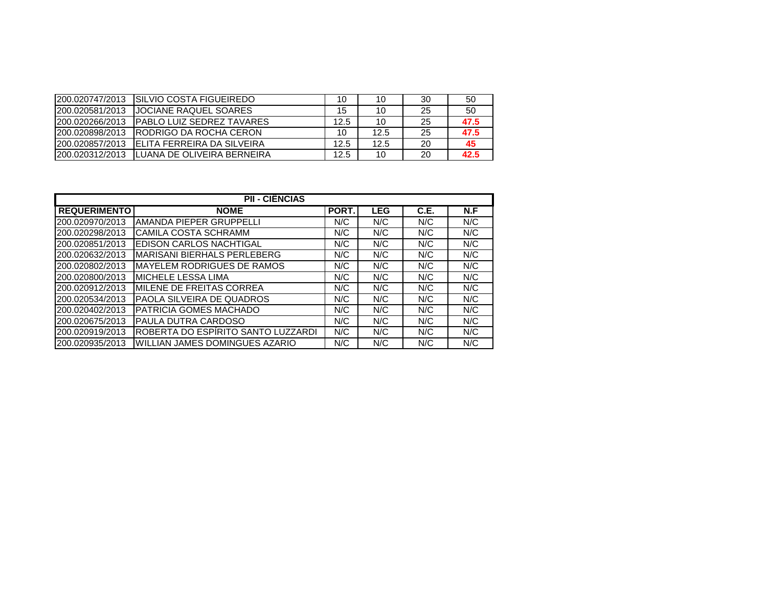| 200.020747/2013  | ISILVIO COSTA FIGUEIREDO           | 10   | 10   | 30 | 50   |
|------------------|------------------------------------|------|------|----|------|
| 1200.020581/2013 | <b>JJOCIANE RAQUEL SOARES</b>      | 15   | 10   | 25 | 50   |
| 200.020266/2013  | <b>IPABLO LUIZ SEDREZ TAVARES</b>  | 12.5 | 10   | 25 | 47.5 |
| 200.020898/2013  | <b>IRODRIGO DA ROCHA CERON</b>     | 10   | 12.5 | 25 | 47.5 |
| 200.020857/2013  | <b>IELITA FERREIRA DA SILVEIRA</b> | 12.5 | 12.5 | 20 | 45   |
| 200.020312/2013  | <b>ILUANA DE OLIVEIRA BERNEIRA</b> | 12.5 | 10   | 20 | 42.5 |

| <b>PII - CIÊNCIAS</b> |                                    |             |            |      |     |  |  |
|-----------------------|------------------------------------|-------------|------------|------|-----|--|--|
| <b>REQUERIMENTO</b>   | <b>NOME</b>                        | <b>PORT</b> | <b>LEG</b> | C.E. | N.F |  |  |
| 200.020970/2013       | AMANDA PIEPER GRUPPELLI            | N/C         | N/C        | N/C  | N/C |  |  |
| 200.020298/2013       | CAMILA COSTA SCHRAMM               | N/C         | N/C        | N/C  | N/C |  |  |
| 200.020851/2013       | EDISON CARLOS NACHTIGAL            | N/C         | N/C        | N/C  | N/C |  |  |
| 200.020632/2013       | MARISANI BIERHALS PERLEBERG        | N/C         | N/C        | N/C  | N/C |  |  |
| 200.020802/2013       | <b>MAYELEM RODRIGUES DE RAMOS</b>  | N/C         | N/C        | N/C  | N/C |  |  |
| 200.020800/2013       | <b>MICHELE LESSA LIMA</b>          | N/C         | N/C        | N/C  | N/C |  |  |
| 200.020912/2013       | IMILENE DE FREITAS CORREA          | N/C         | N/C        | N/C  | N/C |  |  |
| 200.020534/2013       | PAOLA SILVEIRA DE QUADROS          | N/C         | N/C        | N/C  | N/C |  |  |
| 200.020402/2013       | PATRICIA GOMES MACHADO             | N/C         | N/C        | N/C  | N/C |  |  |
| 200.020675/2013       | PAULA DUTRA CARDOSO                | N/C         | N/C        | N/C  | N/C |  |  |
| 200.020919/2013       | ROBERTA DO ESPÍRITO SANTO LUZZARDI | N/C         | N/C        | N/C  | N/C |  |  |
| 200.020935/2013       | WILLIAN JAMES DOMINGUES AZARIO     | N/C         | N/C        | N/C  | N/C |  |  |